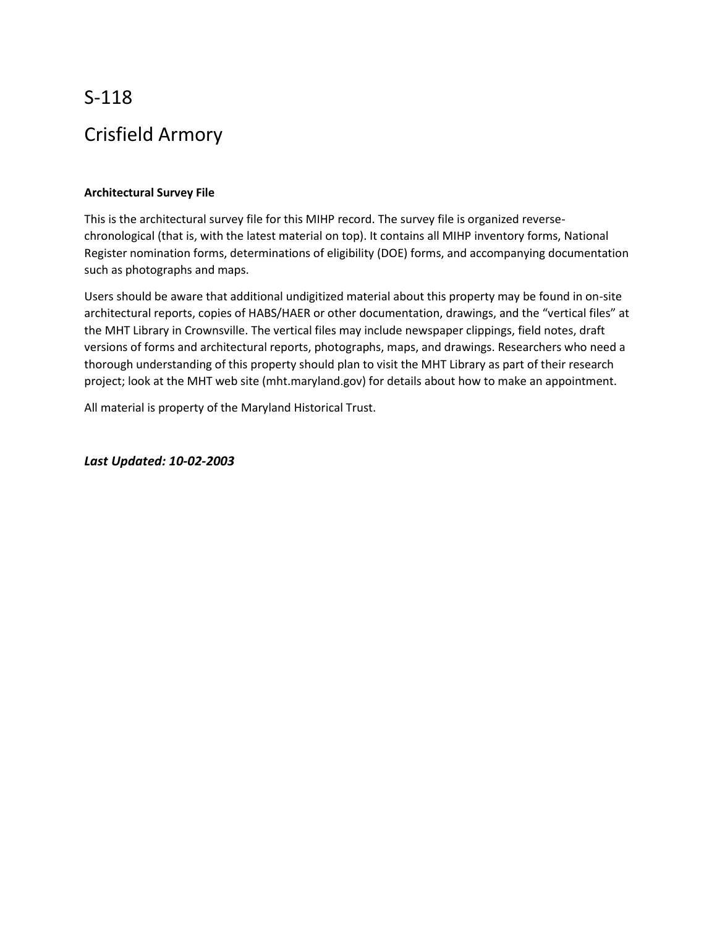# S-118 Crisfield Armory

## **Architectural Survey File**

This is the architectural survey file for this MIHP record. The survey file is organized reversechronological (that is, with the latest material on top). It contains all MIHP inventory forms, National Register nomination forms, determinations of eligibility (DOE) forms, and accompanying documentation such as photographs and maps.

Users should be aware that additional undigitized material about this property may be found in on-site architectural reports, copies of HABS/HAER or other documentation, drawings, and the "vertical files" at the MHT Library in Crownsville. The vertical files may include newspaper clippings, field notes, draft versions of forms and architectural reports, photographs, maps, and drawings. Researchers who need a thorough understanding of this property should plan to visit the MHT Library as part of their research project; look at the MHT web site (mht.maryland.gov) for details about how to make an appointment.

All material is property of the Maryland Historical Trust.

*Last Updated: 10-02-2003*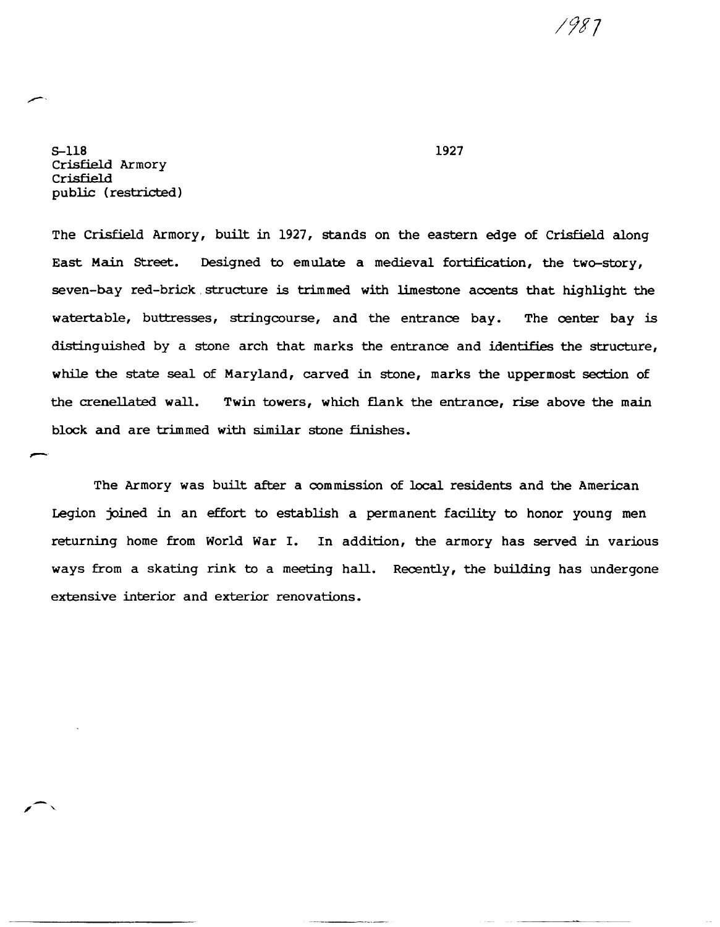*/9!7* 

S-118 Crisfield Armory Crisfield public (restricted)

The Crisfield Armory, built in 1927, stands on the eastern edge of Crisfield along East Main street. Designed to emulate a medieval fortification, the two-story, seven-bay red-brick. structure is trimmed with limestone accents that highlight the watertable, buttresses, stringcourse, and the entrance bay. The center bay is distinguished by a stone arch that marks the entrance and identifies the structure, while the state seal of Maryland, carved in stone, marks the uppermost section of the crenellated wall. Twin towers, which flank the entrance, rise above the main block and are trim med with similar stone finishes.

The Armory was built after a commission of local residents and the American Legion joined in an effort to establish a permanent facility to honor young men returning home from World War I. In addition, the armory has served in various ways from a skating rink to a meeting hall. Recently, the building has undergone extensive interior and exterior renovations.

1927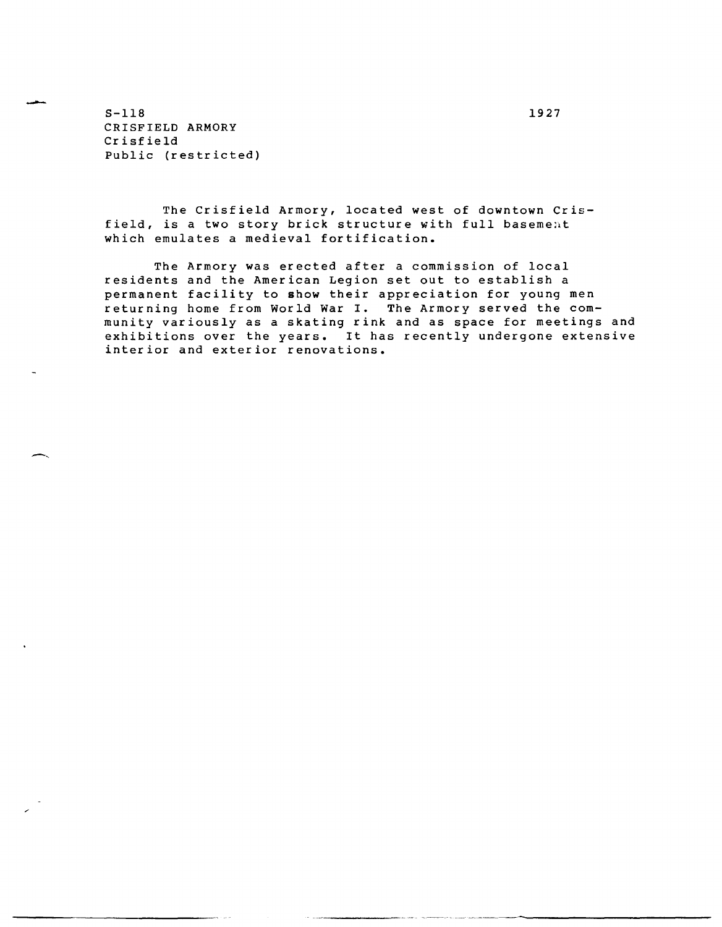$S-118$ CRISFIELD ARMORY Crisfield Public (restricted)

> The Crisfield Armory, located west of downtown Crisfield, is a two story brick structure with full basement which emulates a medieval fortification.

The Armory was erected after a commission of local residents and the American Legion set out to establish a permanent facility to show their appreciation for young men returning home from World War I. The Armory served the community variously as a skating rink and as space for meetings and exhibitions over the years. It has recently undergone extensive interior and exterior renovations.

1927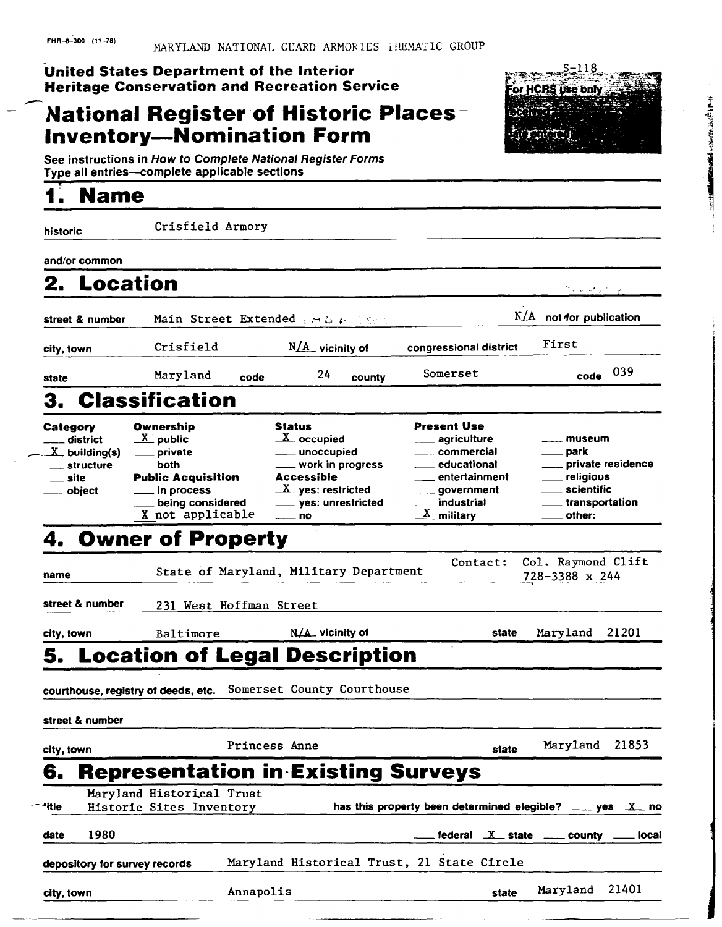### United States Department of the Interior Heritage Conservation and Recreation Service

## **National Register of Historic Places** - **Inventory-Nomination Form**



また、この「私のスページのあるので、現在のスターの場所の

i,

See instructions in How to Complete National Register Forms Type all entries-complete applicable sections

## 1~ **Name**

historic Crisfield Armory

-

and/or common **2. Location**  street & number Main Street Extended (MG  $\mu$  ) and  $\mu$  and  $\frac{N/A}{A}$  not for publication city, town  $Crisfield$   $N/A$  vicinity of congressional district First state Maryland code 24 county Somerset code 039 **3. Classification**  Category Ownership Status Status Present Use \_\_ district  $X_$  building(s) \_structure \_site Ownership  $\underline{X}$  public \_\_ private \_both Public Acquisition \_in process  $\underline{X}$  occupied \_ unoccupied work in progress Accessible agriculture \_\_ commercial educational \_ entertainment government \_\_ industrial  $\underline{X}$  military \_\_ museum \_\_ park private residence religious \_\_ object \_\_ being considered X not applicable  $\underline{X}$  yes: restricted \_yes: unrestricted  $-$  yes<br>-- no **4. Owner of Property**  name State of Maryland, Military Department street & number 231 West Hoffman Street city, town Baltimore N/A vicinity of **5. Location of Legal Description**  courthouse, registry of deeds, etc. Somerset County Courthouse street & number city, town Princess Anne scientific transportation \_\_ other: Contact: Col. Raymond Clift 728-3388 x 244 state Maryland 21201 state Maryland 21853 **6. Representation in-Existing Surveys**  Maryland Historical Trust "itle  $\quad$  Historic Sites Inventory  $\qquad \qquad$  has this property been determined elegible?  $\qquad \qquad$  yes  $\qquad \qquad X$  no date 1980 \_\_ federal \_x\_ state \_\_ county \_\_ local depository for survey records Maryland Historical Trust, 21 State Circle city, town annexyme and the Annapolis state Maryland 21401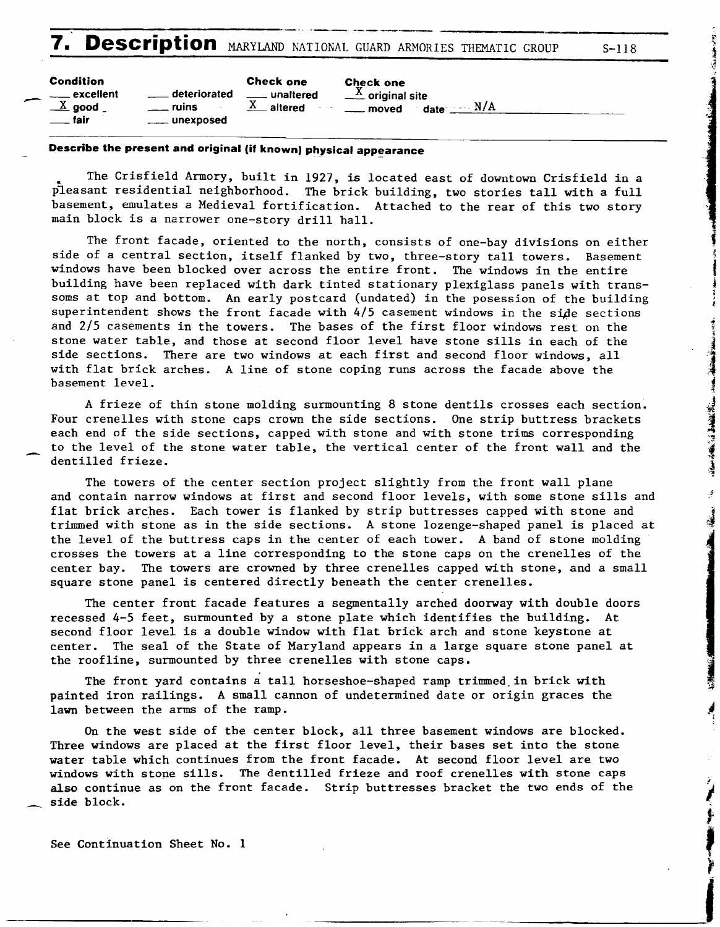j ~ **I** j . ,

.J

「地震の あまま あまま あまま

*i*   $\ddot{\ddot{\mathbf{r}}}$ t.

' ;

| <b>Condition</b><br>deteriorated<br><u>___</u> excellent<br>$\underline{X}$ good<br>ruins<br>fair)<br>unexposed | Check one<br>____ unaltered<br>X<br>altered<br>$\alpha$ . The $\alpha$ | <b>Check one</b><br>$\frac{\Lambda}{\Lambda}$ original site<br>N/A<br>moved<br>date __ |
|-----------------------------------------------------------------------------------------------------------------|------------------------------------------------------------------------|----------------------------------------------------------------------------------------|
|                                                                                                                 |                                                                        |                                                                                        |

## Describe the present and original (if known) physical appearance

-

The Crisfield Armory, built in 1927, is located east of downtown Crisfield in a pleasant residential neighborhood. The brick building, two stories tall with a full basement, emulates a Medieval fortification. Attached to the rear of this two story main block is a narrower one-story drill hall.

The front facade, oriented to the north, consists of one-bay divisions on either side of a central section, itself flanked by two, three-story tall towers. Basement windows have been blocked over across the entire front. The windows in the entire building have been replaced with dark tinted stationary plexiglass panels with transsoms at top and bottom. An early postcard (undated) in the posession of the building superintendent shows the front facade with 4/5 casement windows in the side sections and 2/5 casements in the towers. The bases of the first floor windows rest on the stone water table, and those at second floor level have stone sills in each of the side sections. There are two windows at each first and second floor windows, all with flat brick arches. A line of stone coping runs across the facade above the basement level.

A frieze of thin stone molding surmounting 8 stone dentils crosses each section. Four crenelles with stone caps crown the side sections. One strip buttress brackets each end of the side sections, capped with stone and with stone trims corresponding to the level of the stone water table, the vertical center of the front wall and the dentilled frieze.

The towers of the center section project slightly from the front wall plane and contain narrow windows at first and second floor levels, with some stone sills and flat brick arches. Each tower is flanked by strip buttresses capped with stone and trimmed with stone as in the side sections. A stone lozenge-shaped panel is placed at the level of the buttress caps in the center of each tower. A band of stone molding crosses the towers at a line corresponding to the stone caps on the crenelles of the center bay. The towers are crowned by three crenelles capped with stone, and a small square stone panel is centered directly beneath the center crenelles.

The center front facade features a segmentally arched doorway with double doors recessed 4-5 feet, surmounted by a stone plate which identifies the building. At second floor level is a double window with flat brick arch and stone keystone at center. The seal of the State of Maryland appears in a large square stone panel at the roofline, surmounted by three crenelles with stone caps.

The front yard contains a tall horseshoe-shaped ramp trimmed in brick with painted iron railings. A small cannon of undetermined date or origin graces the lawn between the arms of the ramp.

On the west side of the center block, all three basement windows are blocked. Three windows are placed at the first floor level, their bases set into the stone water table which continues from the front facade. At second floor level are two windows with stone sills. The dentilled frieze and roof crenelles with stone caps also continue as on the front facade. Strip buttresses bracket the two ends of the side block. or level are two<br>s with stone caps<br>he two ends of the

See Continuation Sheet No. I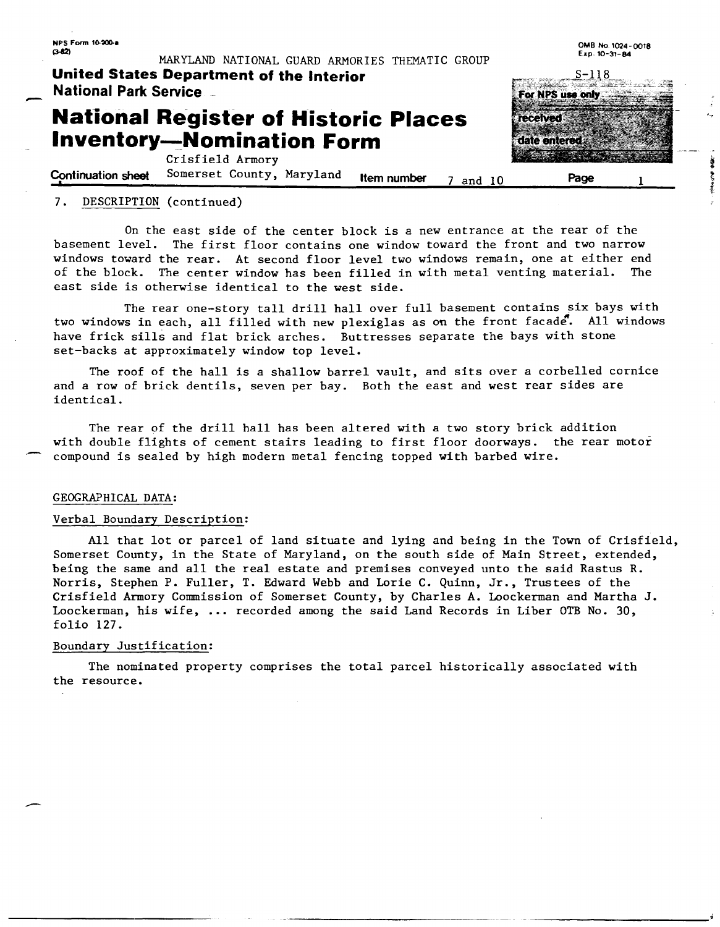-

MARYLAND NATIONAL GUARD ARMORIES THEMATIC GROUP

OMB No. 1024-0018 E.p. 10-31-84

 $S-118$ 

For NPS use only

received

date entered

Page 1

**United States Department of the Interior National Park Service** ·-

## **National Register of Historic Places** lnventory~Nomination **Form**

Crisfield Armory

Continuation sheet Somerset County, Maryland Item number 7 and 10

#### 7. DESCRIPTION (continued)

On the east side of the center block is a new entrance at the rear of the basement level. The first floor contains one window toward the front and two narrow windows toward the rear. At second floor level two windows remain, one at either end<br>of the block. The center window has been filled in with metal venting material. The of the block. The center window has been filled in with metal venting material. east side is otherwise identical to the west side.

The rear one-story tall drill hall over full basement contains six bays with two windows in each, all filled with new plexiglas as on the front facade". All windows have frick sills and flat brick arches. Buttresses separate the bays with stone set-backs at approximately window top level.

The roof of the hall is a shallow barrel vault, and sits over a corbelled cornice and a row of brick dentils, seven per bay. Both the east and west rear sides are identical.

The rear of the drill hall has been altered with a two story brick addition with double flights of cement stairs leading to first floor doorways. the rear motor compound is sealed by high modern metal fencing topped with barbed wire.

#### GEOGRAPHICAL DATA:

#### Verbal Boundary Description:

All that lot or parcel of land situate and lying and being in the Town of Crisfield, Somerset County, in the State of Maryland, on the south side of Main Street, extended, being the same and all the real estate and premises conveyed unto the said Rastus R. Norris, Stephen P. Fuller, T. Edward Webb and Lorie C. Quinn, Jr., Trustees of the Crisfield Armory Connnission of Somerset County, by Charles A. Loockerman and Martha J. Loockerman, his wife, ... recorded among the said Land Records in Liber OTB No. 30, folio 127.

#### Boundary Justification:

The nominated property comprises the total parcel historically associated with the resource.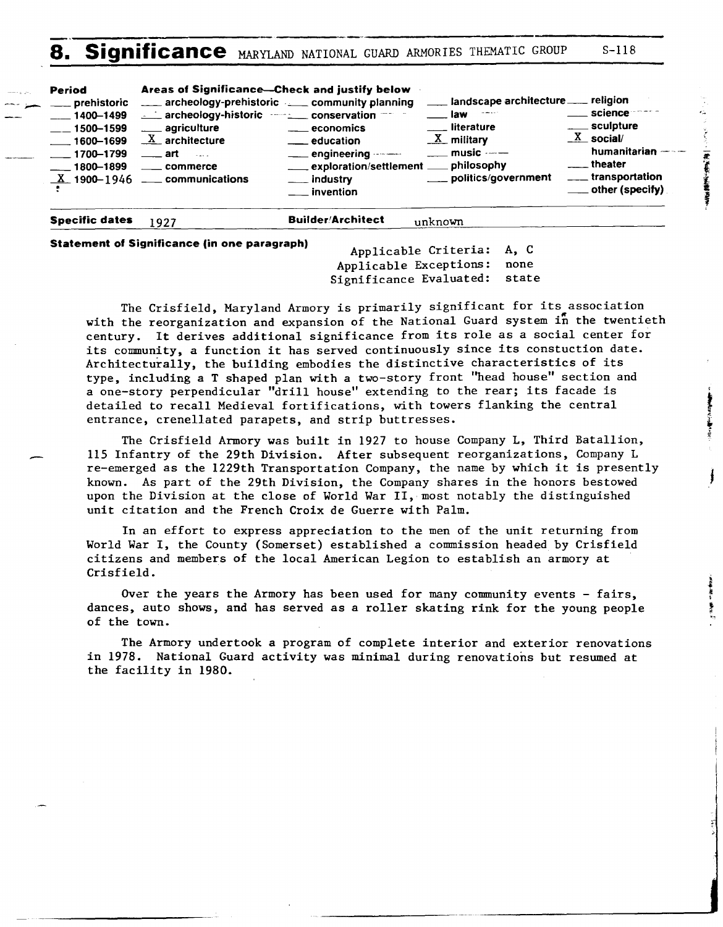

Specific dates 1927 **Builder/Architect** unknown

Statement of Significance (in one paragraph)<br>Applicable Criteria:

Applicable Exceptions: Significance Evaluated: A, C none state

The Crisfield, Maryland Armory is primarily significant for its association with the reorganization and expansion of the National Guard system in the twentieth century. It derives additional significance from its role as a social center for its community, a function it has served continuously since its constuction date. Architecturally, the building embodies the distinctive characteristics of its type, including a T shaped plan with a two-story front "head house" section and a one-story perpendicular "drill house" extending to the rear; its facade is detailed to recall Medieval fortifications, with towers flanking the central entrance, crenellated parapets, and strip buttresses.

The Crisfield Armory was built in 1927 to house Company L, Third Batallion, 115 Infantry of the 29th Division. After subsequent reorganizations, Company L re-emerged as the 1229th Transportation Company, the name by which it is presently known. As part of the 29th Division, the Company shares in the honors bestowed upon the Division at the close of World War II, most notably the distinguished unit citation and the French Croix de Guerre with Palm.

In an effort to express appreciation to the men of the unit returning from World War I, the County (Somerset) established a commission headed by Crisfield citizens and members of the local American Legion to establish an armory at Crisfield.

Over the years the Armory has been used for many community events - fairs, dances, auto shows, and has served as a roller skating rink for the young people of the town.

The Armory undertook a program of complete interior and exterior renovations in 1978. National Guard activity was minimal during renovations but resumed at the facility in 1980.

اليم<br>الأول

ことに、一変に言われる意味をす

**include the an** ''<br>Br •

**Home Charles Changes**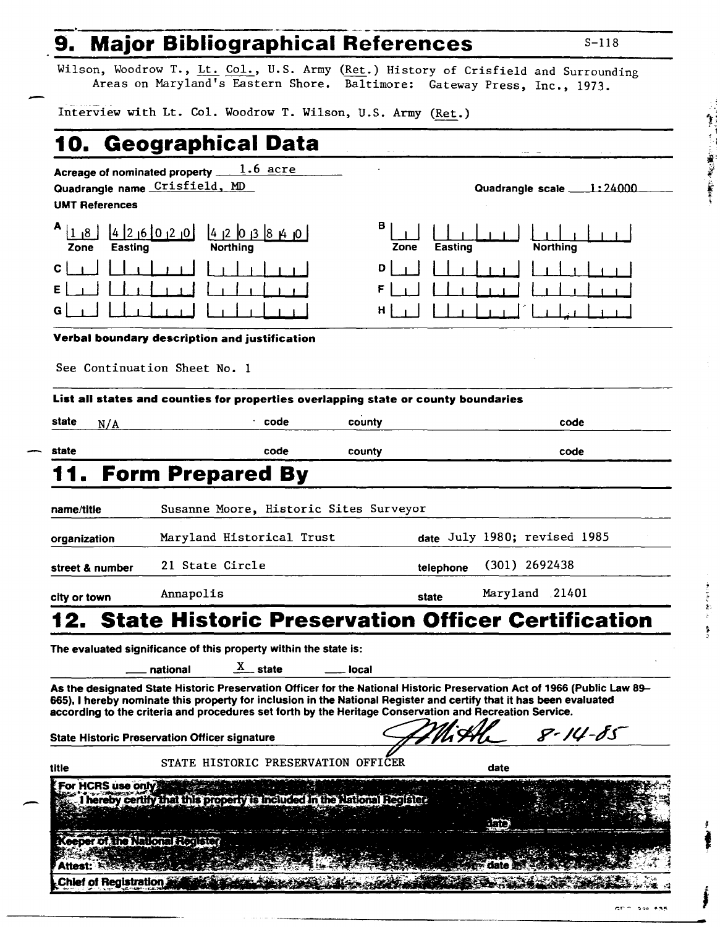#### **Major Bibliographical References** 9.

Wilson, Woodrow T., Lt. Col., U.S. Army (Ret.) History of Crisfield and Surrounding Areas on Maryland's Eastern Shore. Baltimore: Gateway Press, Inc., 1973.

Interview with Lt. Col. Woodrow T. Wilson, U.S. Army (Ret.)

**Chief of Registration** 

#### **Geographical Data** 10.  $1.6$  acre Acreage of nominated property \_ Quadrangle name Crisfield, MD Quadrangle scale \_\_\_\_1:24000 **UMT References**  $(4|2|6|0|2|0)$ |4 |2 |0 |3 |8 |4 |0 | **Fasting Zone** Zone C D Verbal boundary description and justification See Continuation Sheet No. 1 List all states and counties for properties overlapping state or county boundaries state code county code  $N/A$ state code county code **Form Prepared By** Susanne Moore, Historic Sites Surveyor name/title date July 1980; revised 1985 Maryland Historical Trust organization 21 State Circle  $(301)$  2692438 telephone street & number Annapolis Maryland 21401 state city or town **State Historic Preservation Officer Certification** The evaluated significance of this property within the state is:  $\underline{X}$  state national local As the designated State Historic Preservation Officer for the National Historic Preservation Act of 1966 (Public Law 89-665), I hereby nominate this property for inclusion in the National Register and certify that it has been evaluated according to the criteria and procedures set forth by the Heritage Conservation and Recreation Service. 14-85 **State Historic Preservation Officer signature** STATE HISTORIC PRESERVATION OFFICER title date For HCRS use only I hereby certify that this property is included in the National Register دن بن Keeper of the National Register Attest: **Fidate 漸**

nг  $220$  $0.35$ 

 $S-118$ 

の実行 またいます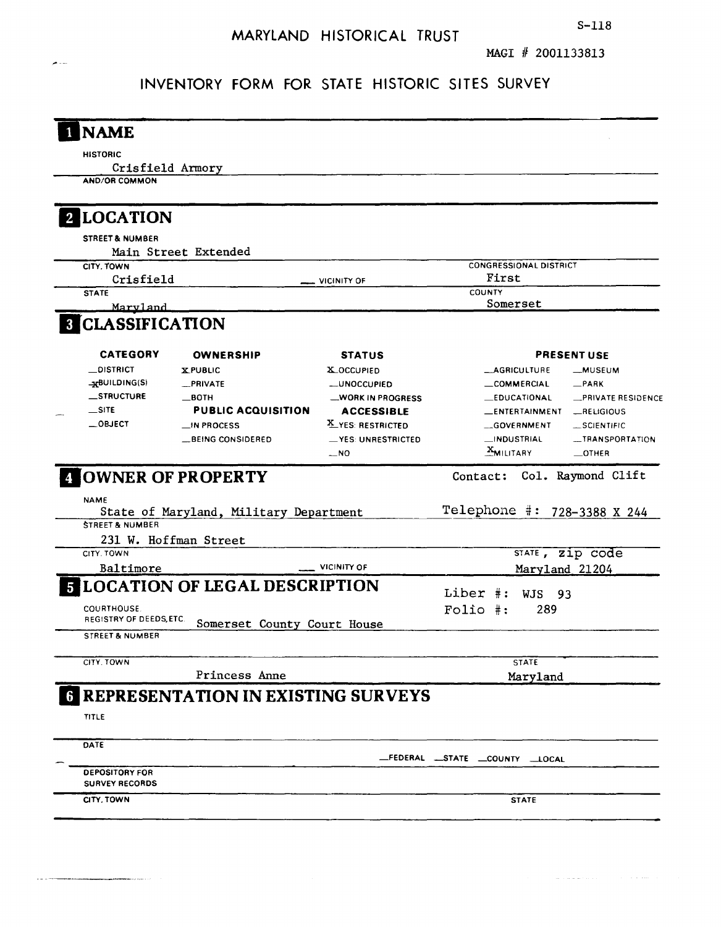$\sim$  100  $\pm$  100  $\mu$  m and  $\sim$  100  $\mu$  100  $\mu$ 

ستجاب الأراب

#### MAGI # 2001133813

## **INVENTORY FORM FOR STATE HISTORIC SITES SURVEY**

| <b>HISTORIC</b>                                |                                             |                     |                                                 |                           |
|------------------------------------------------|---------------------------------------------|---------------------|-------------------------------------------------|---------------------------|
| Crisfield Armory                               |                                             |                     |                                                 |                           |
| <b>AND/OR COMMON</b>                           |                                             |                     |                                                 |                           |
|                                                |                                             |                     |                                                 |                           |
| 2 LOCATION                                     |                                             |                     |                                                 |                           |
| <b>STREET &amp; NUMBER</b>                     |                                             |                     |                                                 |                           |
|                                                | Main Street Extended                        |                     |                                                 |                           |
| <b>CITY. TOWN</b>                              |                                             |                     | <b>CONGRESSIONAL DISTRICT</b>                   |                           |
| Crisfield                                      |                                             | <b>VICINITY OF</b>  | First                                           |                           |
| <b>STATE</b>                                   |                                             |                     | <b>COUNTY</b>                                   |                           |
| Maryland                                       |                                             |                     | Somerset                                        |                           |
| <b>3 CLASSIFICATION</b>                        |                                             |                     |                                                 |                           |
| <b>CATEGORY</b>                                | <b>OWNERSHIP</b>                            | <b>STATUS</b>       |                                                 | <b>PRESENT USE</b>        |
| <b>__DISTRICT</b>                              | X PUBLIC                                    | <b>X_OCCUPIED</b>   | <b>__AGRICULTURE</b>                            | <b>MUSEUM</b>             |
| $\rightarrow$ BUILDING(S)                      | _PRIVATE                                    | <b>__UNOCCUPIED</b> | __COMMERCIAL                                    | $-$ PARK                  |
| _STRUCTURE                                     | —вотн                                       | _WORK IN PROGRESS   | <b>EDUCATIONAL</b>                              | <b>_PRIVATE RESIDENCE</b> |
| $\equiv$ SITE                                  | <b>PUBLIC ACQUISITION</b>                   | <b>ACCESSIBLE</b>   | <b>ENTERTAINMENT</b>                            | RELIGIOUS                 |
| $\equiv$ OBJECT                                | $\equiv$ IN PROCESS                         | X YES: RESTRICTED   | __GOVERNMENT                                    | $\_$ SCIENTIFIC           |
|                                                | __BEING CONSIDERED                          | _YES: UNRESTRICTED  | _INDUSTRIAL                                     | <b>__TRANSPORTATION</b>   |
|                                                |                                             |                     |                                                 |                           |
|                                                | <b>4 OWNER OF PROPERTY</b>                  | $-$ NO              | <b>XMILITARY</b><br>Contact: Col. Raymond Clift | $\equiv$ OTHER            |
| <b>NAME</b>                                    | State of Maryland, Military Department      |                     |                                                 |                           |
| <b>STREET &amp; NUMBER</b>                     |                                             |                     | Telephone #: 728-3388 X 244                     |                           |
|                                                | 231 W. Hoffman Street                       |                     |                                                 |                           |
| CITY. TOWN                                     |                                             |                     |                                                 | STATE, zip code           |
| Baltimore                                      |                                             | VICINITY OF         |                                                 | Maryland 21204            |
|                                                | <b>5 LOCATION OF LEGAL DESCRIPTION</b>      |                     | Liber $\#$ :<br><b>WJS</b><br>- 93              |                           |
| COURTHOUSE.                                    |                                             |                     |                                                 |                           |
| <b>REGISTRY OF DEEDS, ETC.</b>                 |                                             |                     | $Folio$ #:<br>289                               |                           |
| STREET & NUMBER                                | Somerset County Court House                 |                     |                                                 |                           |
| CITY. TOWN                                     |                                             |                     | <b>STATE</b>                                    |                           |
|                                                | Princess Anne                               |                     | Maryland                                        |                           |
|                                                |                                             |                     |                                                 |                           |
|                                                | <b>6 REPRESENTATION IN EXISTING SURVEYS</b> |                     |                                                 |                           |
| <b>TITLE</b>                                   |                                             |                     |                                                 |                           |
| DATE                                           |                                             |                     |                                                 |                           |
| <b>DEPOSITORY FOR</b><br><b>SURVEY RECORDS</b> |                                             |                     | _FEDERAL __STATE __COUNTY __LOCAL               |                           |

·---------·

 $\overline{a}$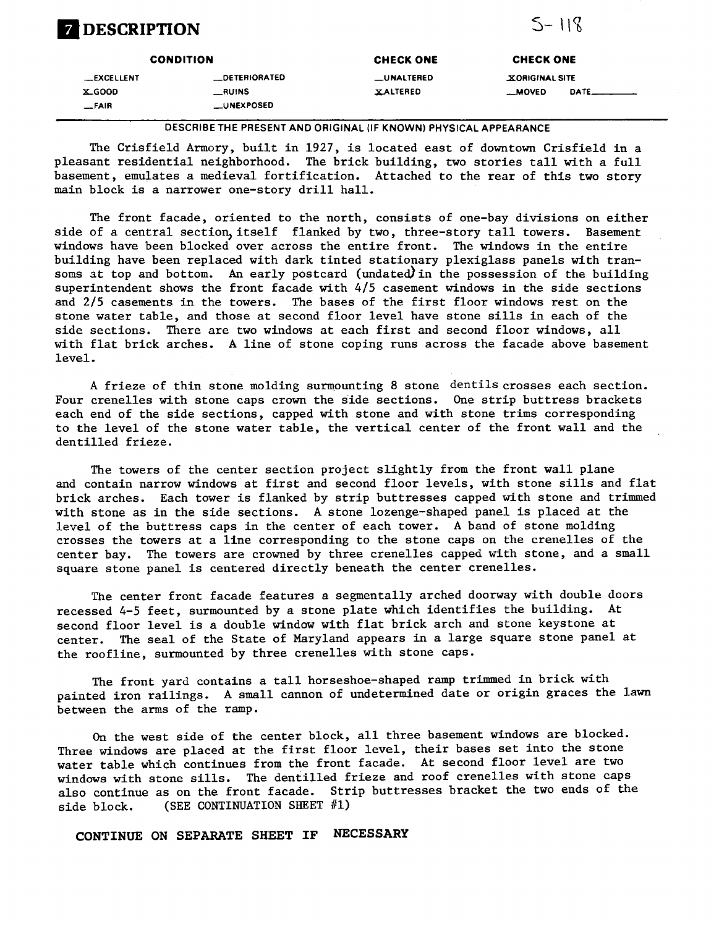## **Z DESCRIPTION**

| 118 |
|-----|
|     |

|                                 | <b>CHECK ONE</b>      | <b>CHECK ONE</b>  | <b>CONDITION</b>     |                  |
|---------------------------------|-----------------------|-------------------|----------------------|------------------|
|                                 | <b>XORIGINAL SITE</b> | <b>LUNALTERED</b> | <b>LDETERIORATED</b> | <b>EXCELLENT</b> |
| $DATE$ <sub>_____________</sub> | __MOVED               | <b>XALTERED</b>   | <b>__RUINS</b>       | X_GOOD           |
|                                 |                       |                   | <b>LUNEXPOSED</b>    | $-FAIR$          |

DESCRIBE THE PRESENT AND ORIGINAL (IF KNOWN) PHYSICAL APPEARANCE

The Crisfield Armory, built in 1927, is located east of downtown Crisfield in a pleasant residential neighborhood. The brick building, two stories tall with a full basement, emulates a medieval fortification. Attached to the rear of this two story main block is a narrower one-story drill hall.

The front facade, oriented to the north, consists of one-bay divisions on either side of a central section, itself flanked by two, three-story tall towers. Basement windows have been blocked over across the entire front. The windows in the entire building have been replaced with dark tinted stationary plexiglass panels with transoms at top and bottom. An early postcard (undated) in the possession of the building superintendent shows the front facade with 4/5 casement windows in the side sections and 2/5 casements in the towers. The bases of the first floor windows rest on the stone water table, and those at second floor level have stone sills in each of the side sections. There are two windows at each first and second floor windows, all with flat brick arches. A line of stone coping runs across the facade above basement level.

A frieze of thin stone molding surmounting 8 stone dentils crosses each section. Four crenelles with stone caps crown the side sections. One strip buttress brackets each end of the side sections, capped with stone and with stone trims corresponding to the level of the stone water table, the vertical center of the front wall and the dentilled frieze.

The towers of the center section project slightly from the front wall plane and contain narrow windows at first and second floor levels, with stone sills and flat brick arches. Each tower is flanked by strip buttresses capped with stone and trimmed with stone as in the side sections. A stone lozenge-shaped panel is placed at the level of the buttress caps in the center of each tower. A band of stone molding crosses the towers at a line corresponding to the stone caps on the crenelles of the center bay. The towers are crowned by three crenelles capped with stone, and a small square stone panel is centered directly beneath the center crenelles.

The center front facade features a segmentally arched doorway with double doors recessed 4-5 feet, surmounted by a stone plate which identifies the building. At second floor level is a double window with flat brick arch and stone keystone at center. The seal of the State of Maryland appears in a large square stone panel at the roofline, surmounted by three crenelles with stone caps.

The front yard contains a tall horseshoe-shaped ramp trimmed in brick with painted iron railings. A small cannon of undetermined date or origin graces the lawn between the arms of the ramp.

On the west side of the center block, all three basement windows are blocked. Three windows are placed at the first floor level, their bases set into the stone water table which continues from the front facade. At second floor level are two windows with stone sills. The dentilled frieze and roof crenelles with stone caps also continue as on the front facade. Strip buttresses bracket the two ends of the side block. (SEE CONTINUATION SHEET  $#1$ )

CONTINUE ON SEPARATE SHEET IF NECESSARY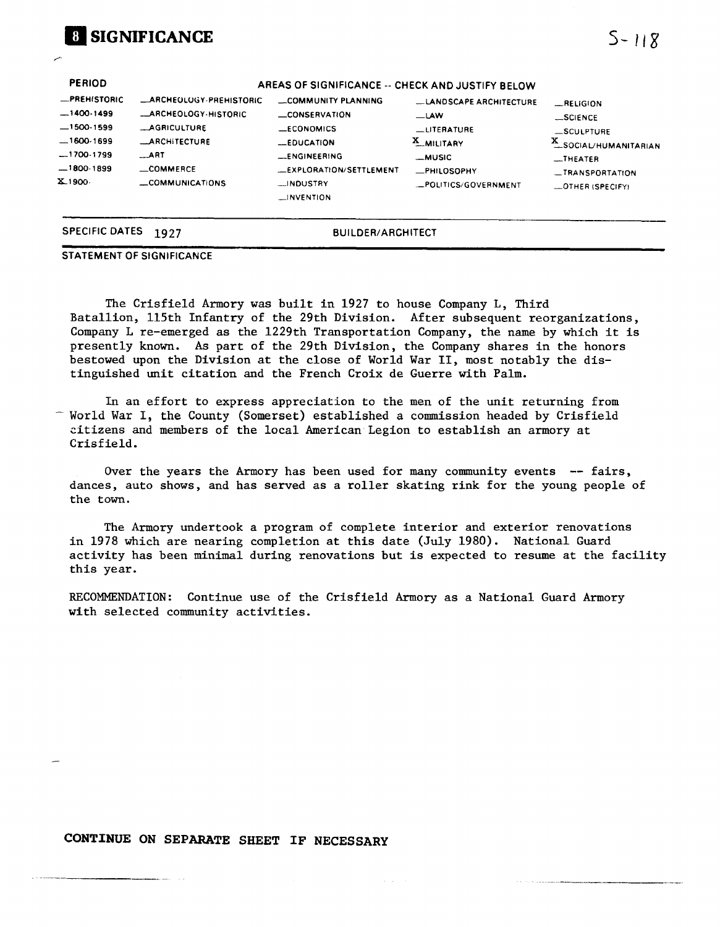| بمر                                                                                                                        | <b>SIGNIFICANCE</b>                                                                                                                                    |                                                                                                                                                                                                                                 |                                                                                                                                | $5 - 118$                                                                                                                                         |
|----------------------------------------------------------------------------------------------------------------------------|--------------------------------------------------------------------------------------------------------------------------------------------------------|---------------------------------------------------------------------------------------------------------------------------------------------------------------------------------------------------------------------------------|--------------------------------------------------------------------------------------------------------------------------------|---------------------------------------------------------------------------------------------------------------------------------------------------|
| <b>PERIOD</b><br>-PREHISTORIC<br>$-1400.1499$<br>$-1500 - 1599$<br>$-1600-1699$<br>$-1700.1799$<br>$-1800.1899$<br>X 1900. | <b>_ARCHEOLOGY-PREHISTORIC</b><br><b>_ARCHEOLOGY-HISTORIC</b><br><b>LAGRICULTURE</b><br><b>_ARCHITECTURE</b><br>$\_ART$<br>_COMMERCE<br>COMMUNICATIONS | AREAS OF SIGNIFICANCE -- CHECK AND JUSTIFY BELOW<br>COMMUNITY PLANNING<br><b>CONSERVATION</b><br>$–E$ CONOMICS<br><b>_EDUCATION</b><br><b>_ENGINEERING</b><br><b>LEXPLORATION/SETTLEMENT</b><br>__INDUSTRY<br><b>LINVENTION</b> | <b>LANDSCAPE ARCHITECTURE</b><br>$-LM$<br>$L$ LITERATURE<br>X MILITARY<br><b>_MUSIC</b><br>-PHILOSOPHY<br>-POLITICS/GOVERNMENT | $-$ RELIGION<br>_SCIENCE<br>$\equiv$ SCULPTURE<br><b>X_SOCIAL/HUMANITARIAN</b><br>$\equiv$ THEATER<br>-TRANSPORTATION<br>$\equiv$ OTHER (SPECIFY) |

SPECIFIC DATES 1927

BUILDER/ARCHITECT

#### STATEMENT OF SIGNIFICANCE

The Crisfield Armory was built in 1927 to house Company L, Third Batallion, 115th Infantry of the 29th Division. After subsequent reorganizations, Company L re-emerged as the 1229th Transportation Company, the name by which it is presently known. As part of the 29th Division, the Company shares in the honors bestowed upon the Division at the close of World War II, most notably the distinguished unit citation and the French Croix de Guerre with Palm.

In an effort to express appreciation to the men of the unit returning from World War I, the County (Somerset) established a commission headed by Crisfield citizens and members of the local American Legion to establish an armory at Crisfield.

Over the years the Armory has been used for many community events  $-$  fairs, dances, auto shows, and has served as a roller skating rink for the young people of the town.

The Armory undertook a program of complete interior and exterior renovations in 1978 which are nearing completion at this date (July 1980). National Guard activity has been minimal during renovations but is expected to resume at the facility this year.

 $\mathcal{L}_{\rm{max}}$  ,  $\mathcal{L}_{\rm{max}}$ 

RECOMMENDATION: Continue use of the Crisfield Armory as a National Guard Armory with selected community activities.

### CONTINUE ON SEPARATE SHEET IF NECESSARY

an<br>Manazarta da Maria Ca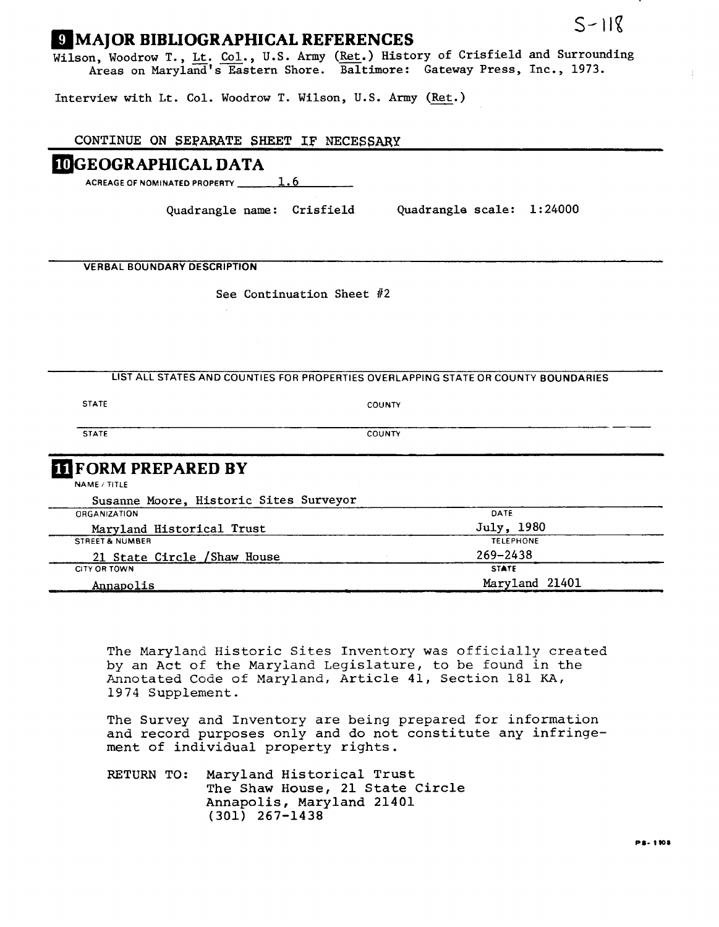## **IMAIOR BIBLIOGRAPHICAL REFERENCES**

Wilson, Woodrow T., Lt. Col., U.S. Army (Ret.) History of Crisfield and Surrounding Areas on Maryland's Eastern Shore. Baltimore: Gateway Press, Inc., 1973.

Interview with Lt. Col. Woodrow T. Wilson, U.S. Army (Ret.)

#### CONTINUE ON SEPARATE SHEET IF NECESSARY

## **IUGEOGRAPHICAL DATA**

ACREAGE OF NOMINATED PROPERTY  $1.6$ 

Quadrangle name: Crisfield Quadrangle scale: 1:24000

VERBAL BOUNDARY DESCRIPTION

See Continuation Sheet #2

LIST ALL STATES AND COUNTIES FOR PROPERTIES OVERLAPPING STATE OR COUNTY BOUNDARIES

STATE

**COUNTY** 

**STATE** 

**COUNTY** 

## **MFORM PREPARED BY**

| NAME / TITLE                           |                  |
|----------------------------------------|------------------|
| Susanne Moore, Historic Sites Surveyor |                  |
| <b>ORGANIZATION</b>                    | DATE             |
| Maryland Historical Trust              | July, 1980       |
| <b>STREET &amp; NUMBER</b>             | <b>TELEPHONE</b> |
| 21 State Circle / Shaw House           | $269 - 2438$     |
| CITY OR TOWN                           | <b>STATE</b>     |
| Annapolis                              | Maryland 21401   |

The Maryland Historic Sites Inventory was officially created by an Act of the Maryland Legislature, to be found in the Annotated Code of Maryland, Article 41, Section 181 KA, 1974 Supplement.

The Survey and Inventory are being prepared for information and record purposes only and do not constitute any infringement of individual property rights.

RETURN TO: Maryland Historical Trust The Shaw House, 21 State Circle Annapolis, Maryland 21401 (301) 267-1438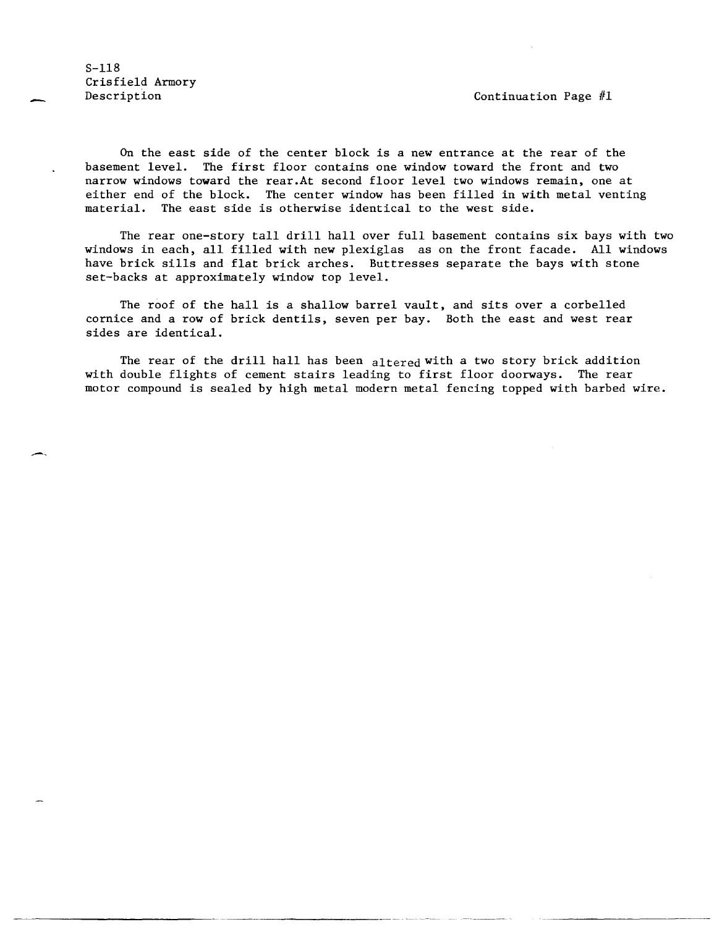S-118 Crisfield Armory

Continuation Page  $#1$ 

On the east side of the center block is a new entrance at the rear of the basement level. The first floor contains one window toward the front and two narrow windows toward the rear.At second floor level two windows remain, one at either end of the block. The center window has been filled in with metal venting material. The east side is otherwise identical to the west side.

The rear one-story tall drill hall over full basement contains six bays with two windows in each, all filled with new plexiglas as on the front facade. All windows have brick sills and flat brick arches. Buttresses separate the bays with stone set-backs at approximately window top level.

The roof of the hall is a shallow barrel vault, and sits over a corbelled cornice and a row of brick dentils, seven per bay. Both the east and west rear sides are identical.

The rear of the drill hall has been altered with a two story brick addition with double flights of cement stairs leading to first floor doorways. The rear motor compound is sealed by high metal modern metal fencing topped with barbed wire.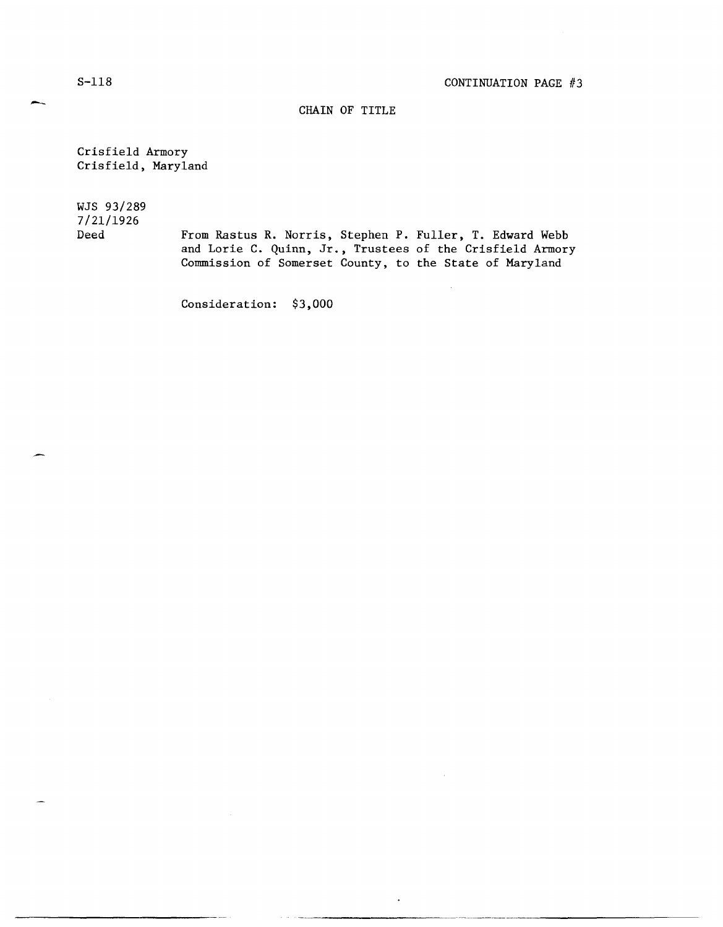----------- --------------

CHAIN OF TITLE

Crisfield Armory Crisfield, Maryland

WJS 93/289 7/21/1926

From Rastus R. Norris, Stephen P. Fuller, T. Edward Webb and Lorie C. Quinn, Jr., Trustees of the Crisfield Armory Commission of Somerset County, to the State of Maryland

 $\bullet$ 

Consideration: \$3,000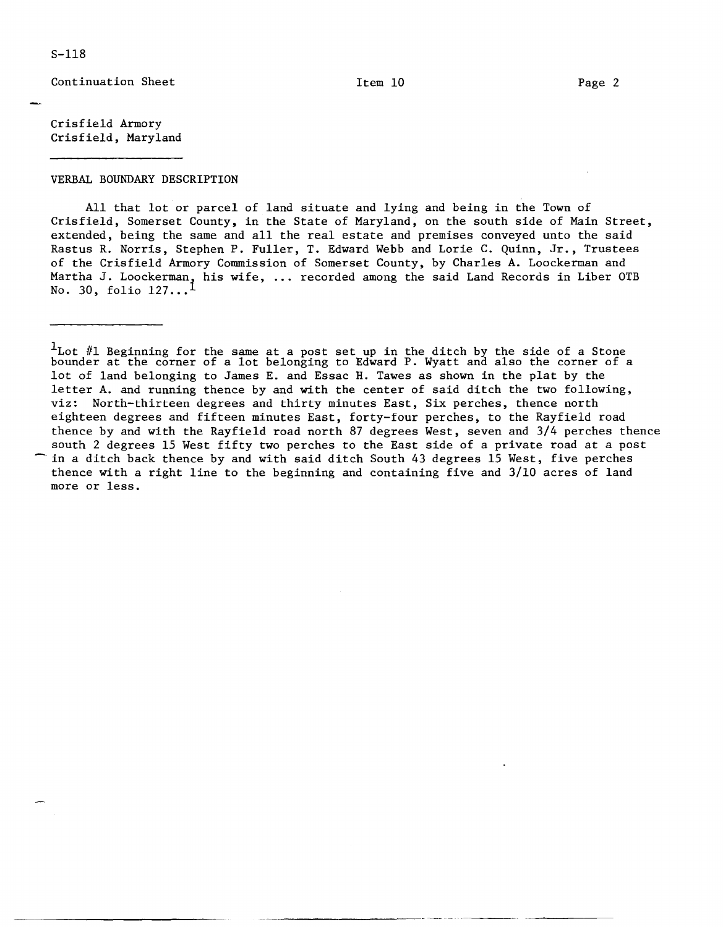Continuation Sheet

Item 10 Page 2

Crisfield Armory Crisfield, Maryland

#### VERBAL BOUNDARY DESCRIPTION

All that lot or parcel of land situate and lying and being in the Town of Crisfield, Somerset County, in the State of Maryland, on the south side of Main Street, extended, being the same and all the real estate and premises conveyed unto the said Rastus R. Norris, Stephen P. Fuller, T. Edward Webb and Lorie C. Quinn, Jr., Trustees of the Crisfield Armory Commission of Somerset County, by Charles A. Loockerman and Martha J. Loockerman, his wife, ... recorded among the said Land Records in Liber OTB No. 30, folio  $127...$ <sup>1</sup>

 $\frac{1}{1}$ Lot #1 Beginning for the same at a post set up in the ditch by the side of a Stone bounder at the corner of a lot belonging to Edward P. Wyatt and also the corner of a lot of land belonging to James E. and Essac H. Tawes as shown in the plat by the letter A. and running thence by and with the center of said ditch the two following, viz: North-thirteen degrees and thirty minutes East, Six perches, thence north eighteen degrees and fifteen minutes East, forty-four perches, to the Rayfield road thence by and with the Rayfield road north 87 degrees West, seven and 3/4 perches thence south 2 degrees 15 West fifty two perches to the East side of a private road at a post in a ditch back thence by and with said ditch South 43 degrees 15 West, five perches thence with a right line to the beginning and containing five and 3/10 acres of land more or less.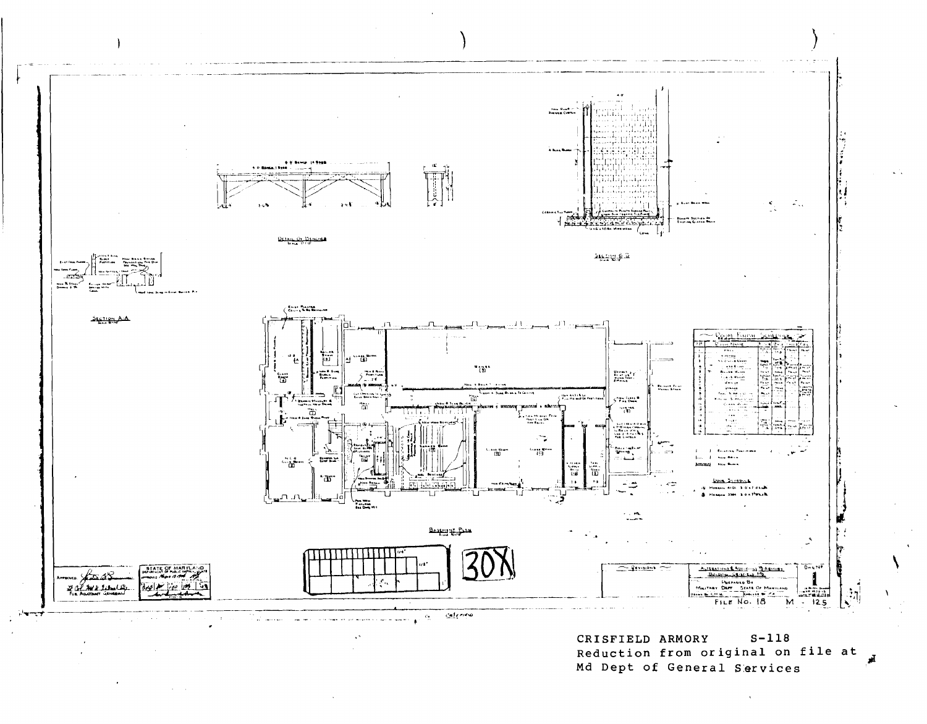

 $S-118$ CRISFIELD ARMORY Reduction from original on file at Md Dept of General Services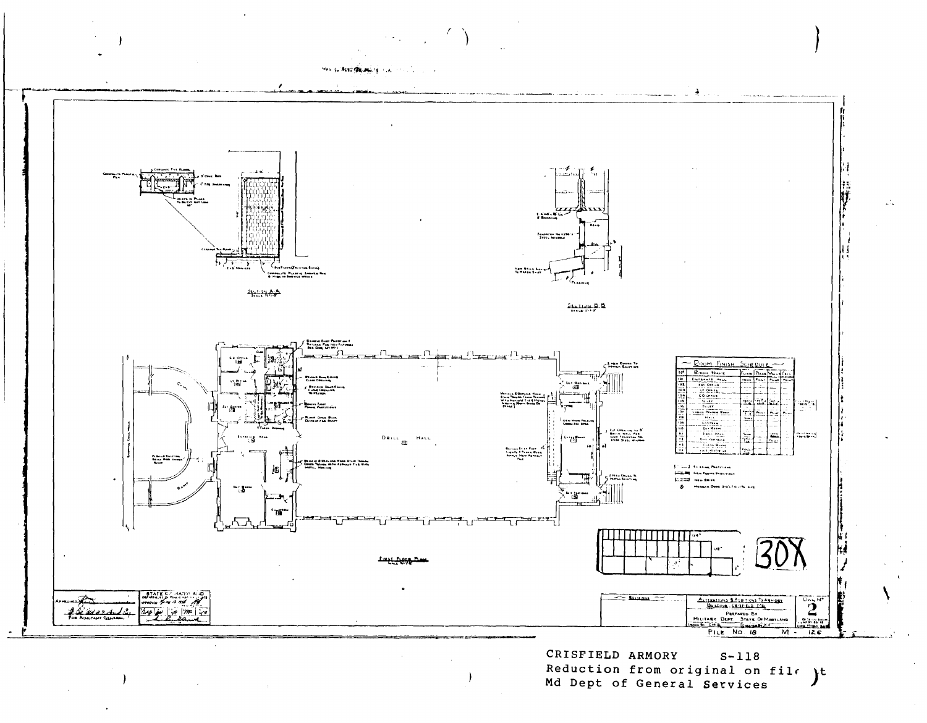

CRISFIELD ARMORY  $S - 118$ Reduction from original on file pt Md Dept of General Services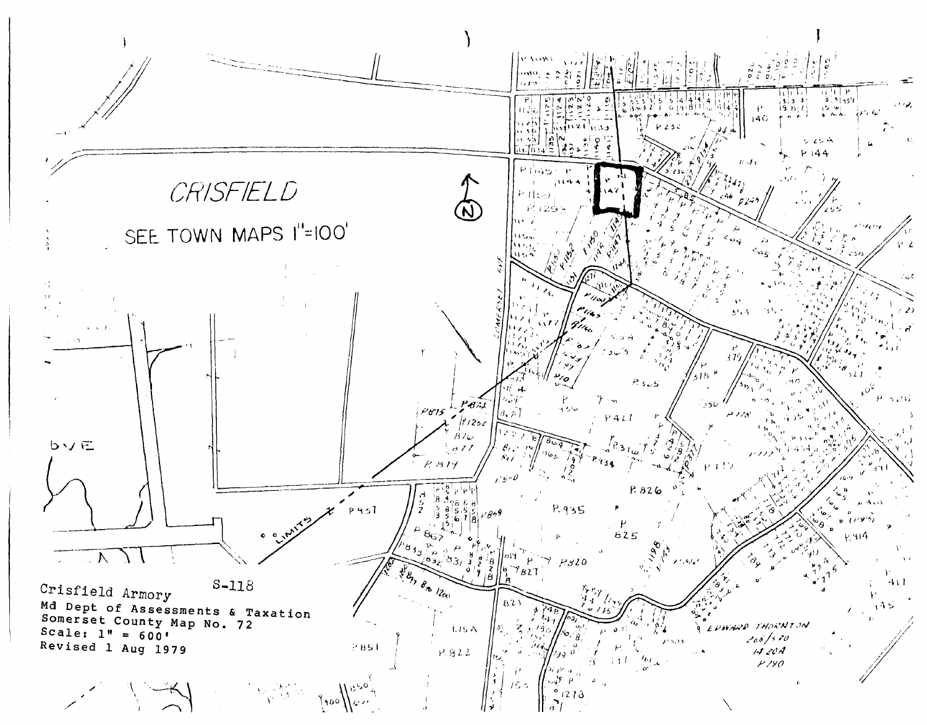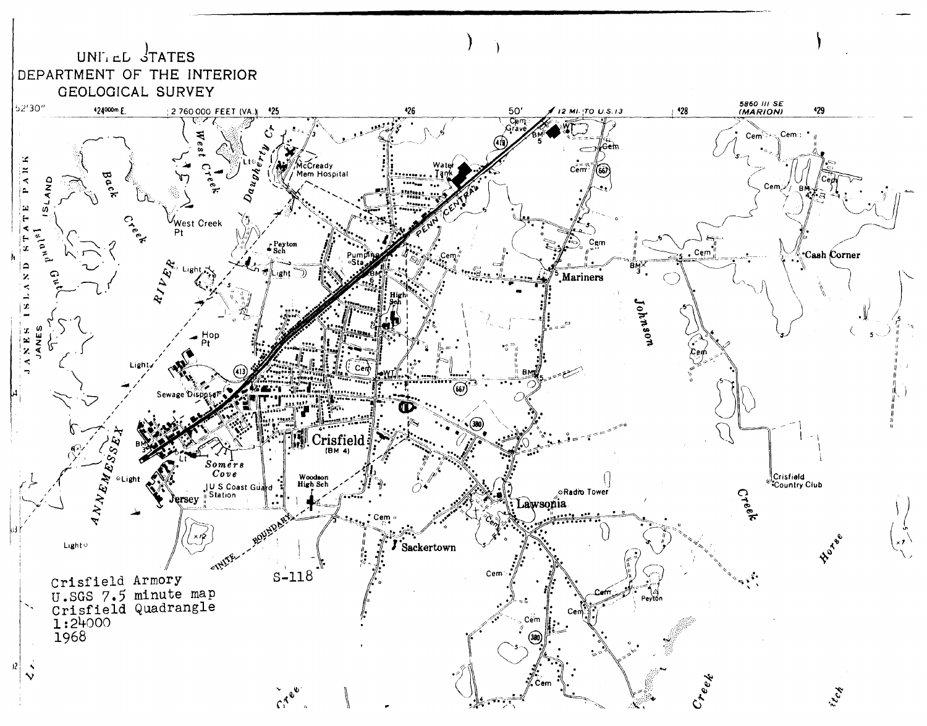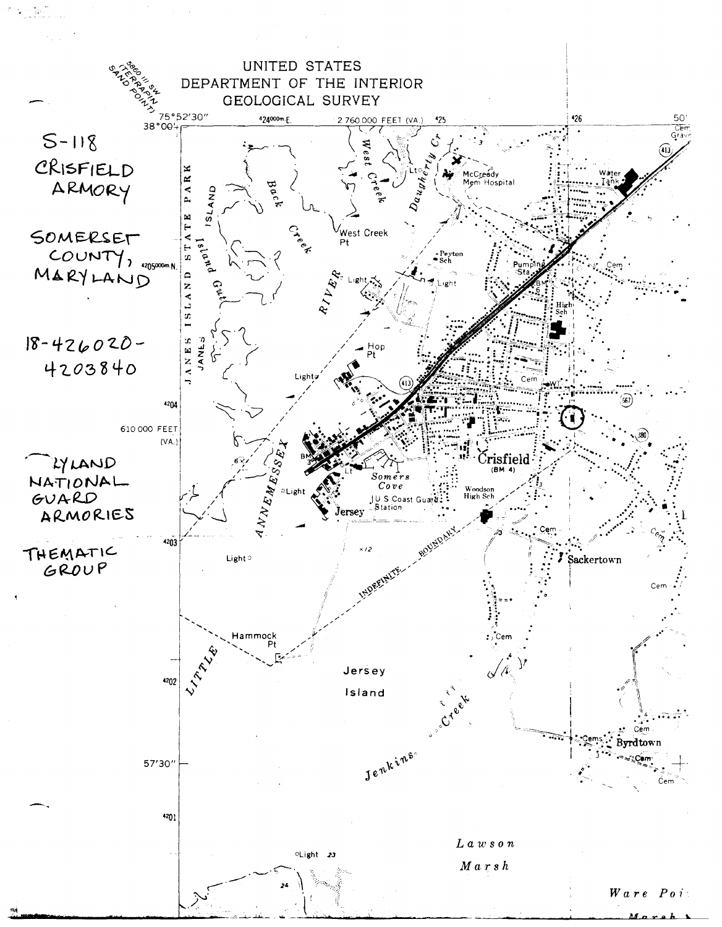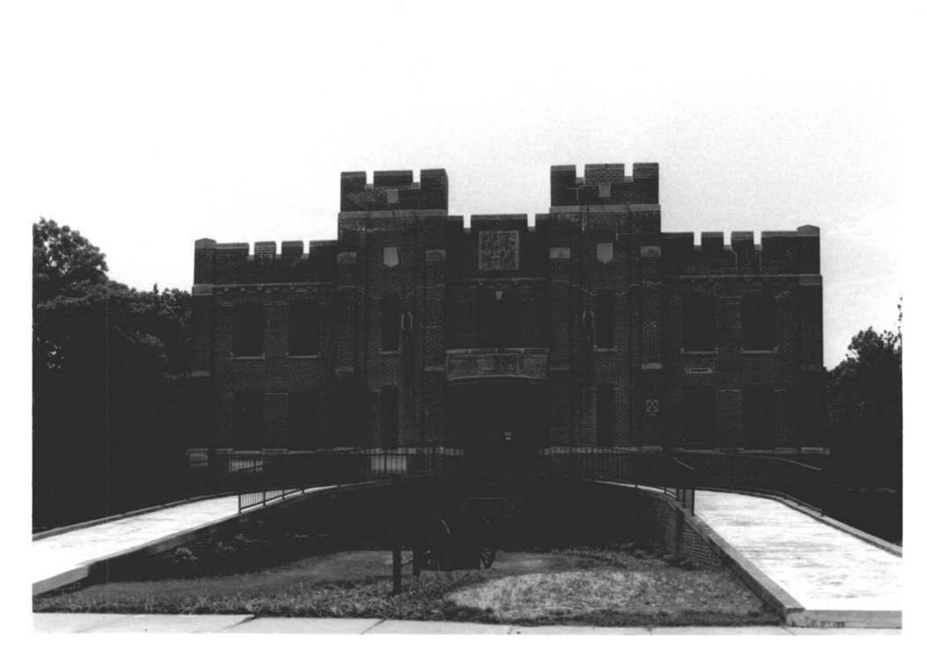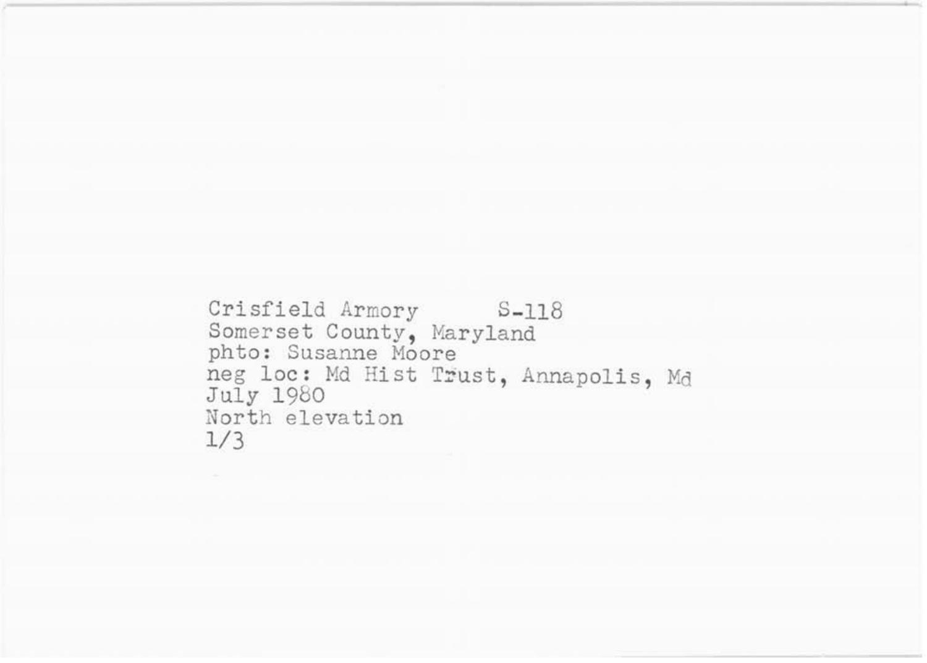Crisfield Armory  $S-118$ Somerset County, Maryland<br>phto: Susanne Moore<br>neg loc: Md Hist Trust, Annapolis, Md<br>July 1980 North elevation  $1/3$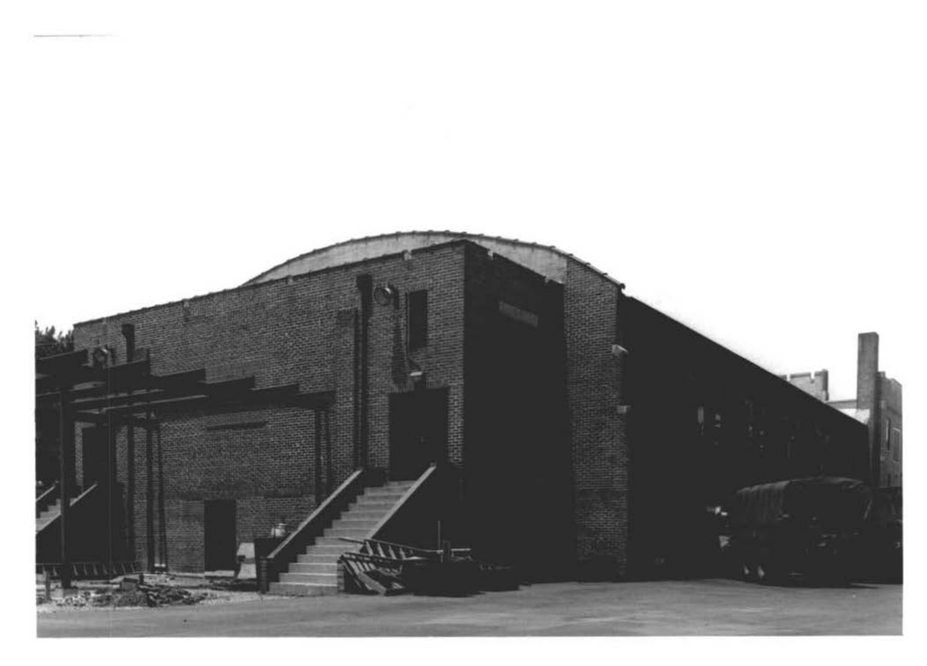